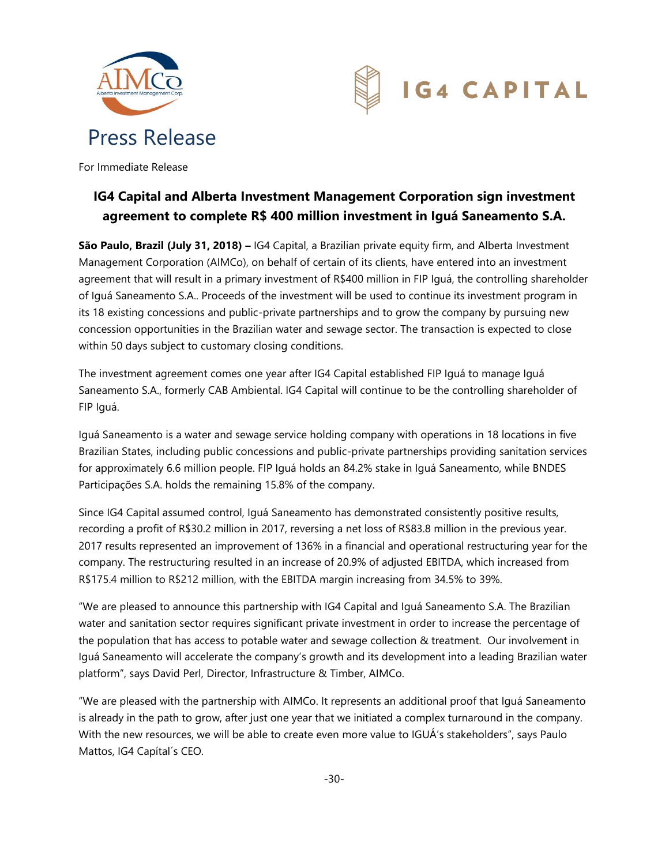



For Immediate Release

# **IG4 Capital and Alberta Investment Management Corporation sign investment agreement to complete R\$ 400 million investment in Iguá Saneamento S.A.**

**São Paulo, Brazil (July 31, 2018) –** IG4 Capital, a Brazilian private equity firm, and Alberta Investment Management Corporation (AIMCo), on behalf of certain of its clients, have entered into an investment agreement that will result in a primary investment of R\$400 million in FIP Iguá, the controlling shareholder of Iguá Saneamento S.A.. Proceeds of the investment will be used to continue its investment program in its 18 existing concessions and public-private partnerships and to grow the company by pursuing new concession opportunities in the Brazilian water and sewage sector. The transaction is expected to close within 50 days subject to customary closing conditions.

The investment agreement comes one year after IG4 Capital established FIP Iguá to manage Iguá Saneamento S.A., formerly CAB Ambiental. IG4 Capital will continue to be the controlling shareholder of FIP Iguá.

Iguá Saneamento is a water and sewage service holding company with operations in 18 locations in five Brazilian States, including public concessions and public-private partnerships providing sanitation services for approximately 6.6 million people. FIP Iguá holds an 84.2% stake in Iguá Saneamento, while BNDES Participações S.A. holds the remaining 15.8% of the company.

Since IG4 Capital assumed control, Iguá Saneamento has demonstrated consistently positive results, recording a profit of R\$30.2 million in 2017, reversing a net loss of R\$83.8 million in the previous year. 2017 results represented an improvement of 136% in a financial and operational restructuring year for the company. The restructuring resulted in an increase of 20.9% of adjusted EBITDA, which increased from R\$175.4 million to R\$212 million, with the EBITDA margin increasing from 34.5% to 39%.

"We are pleased to announce this partnership with IG4 Capital and Iguá Saneamento S.A. The Brazilian water and sanitation sector requires significant private investment in order to increase the percentage of the population that has access to potable water and sewage collection & treatment. Our involvement in Iguá Saneamento will accelerate the company's growth and its development into a leading Brazilian water platform", says David Perl, Director, Infrastructure & Timber, AIMCo.

"We are pleased with the partnership with AIMCo. It represents an additional proof that Iguá Saneamento is already in the path to grow, after just one year that we initiated a complex turnaround in the company. With the new resources, we will be able to create even more value to IGUÁ's stakeholders", says Paulo Mattos, IG4 Capítal´s CEO.